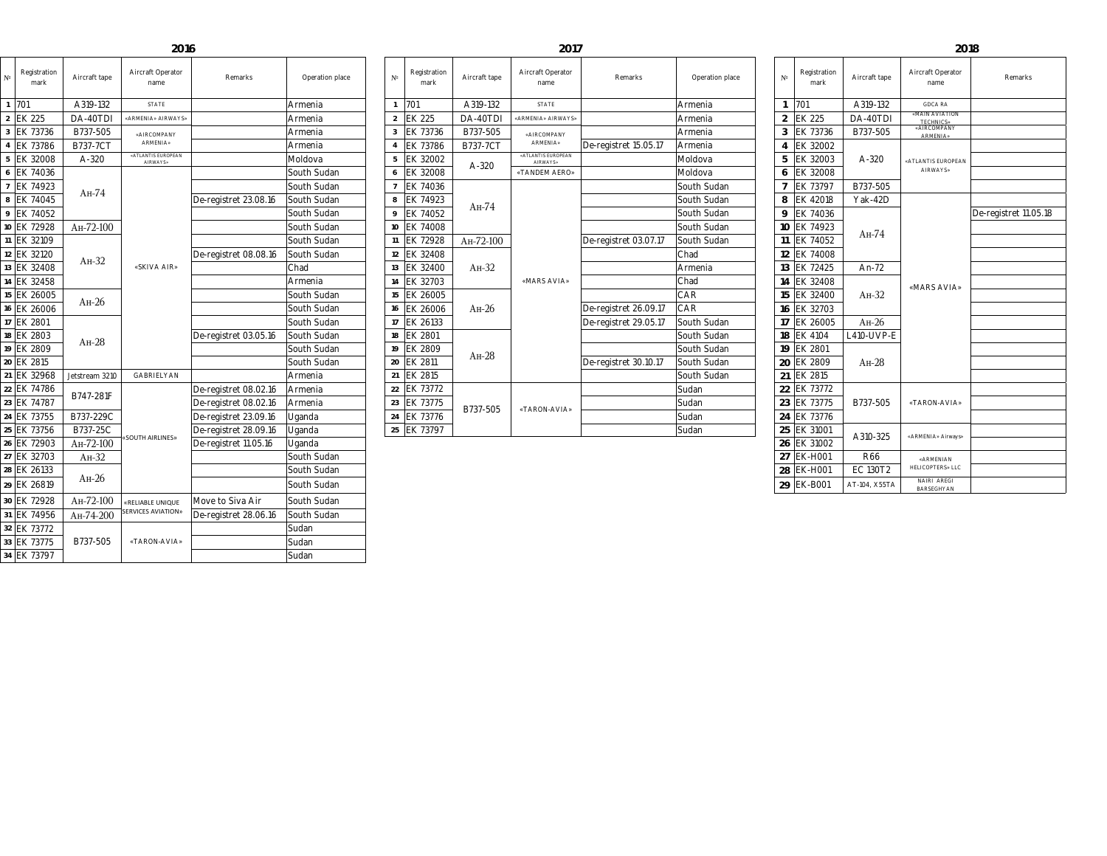| Registration<br>mark | Aircraft tape                    | <b>Aircraft Operator</b><br>name       | Remarks                                                                             | Operation place | Registration<br>$N^{\circ}$<br>mark | Aircraft tape                 | <b>Aircraft Operator</b><br>name       | Remarks               | Operation place  | Registration<br>mark | Aircraft tape                          | <b>Aircraft Operator</b><br>name   | Remarks               |
|----------------------|----------------------------------|----------------------------------------|-------------------------------------------------------------------------------------|-----------------|-------------------------------------|-------------------------------|----------------------------------------|-----------------------|------------------|----------------------|----------------------------------------|------------------------------------|-----------------------|
|                      | A319-132                         | <b>STATE</b>                           |                                                                                     | Armenia         | 701                                 | A319-132                      | <b>STATE</b>                           |                       | <b>Armenia</b>   | 701                  | A319-132                               | <b>GDCA RA</b>                     |                       |
| <b>EK 225</b>        | DA-40TDI                         | «ARMENIA» AIRWAYS»                     |                                                                                     | Armenia         | EK 225                              | DA-40TDI                      | «ARMENIA» AIRWAYS»                     |                       | Armenia          | EK 225               | DA-40TDI                               | «MAIN AVIATION<br>TECHNICS»        |                       |
| <b>EK 73736</b>      | B737-505                         | «AIRCOMPANY                            |                                                                                     | Armenia         | EK 73736                            | B737-505                      | «AIRCOMPANY                            |                       | Armenia          | EK 73736             | B737-505                               | «AIRCOMPANY<br><b>ARMENIA»</b>     |                       |
| <b>EK 73786</b>      | <b>B737-7CT</b>                  | ARMENIA»                               |                                                                                     | Armenia         | EK 73786                            | <b>B737-7CT</b>               | <b>ARMENIA»</b>                        | De-registret 15.05.17 | Armenia          | EK 32002             |                                        |                                    |                       |
| EK 32008             | A-320                            | «ATLANTIS EUROPEAN<br><b>AIRWAYS</b> » |                                                                                     | Moldova         | EK 32002                            |                               | «ATLANTIS EUROPEAN<br><b>AIRWAYS</b> » |                       | Moldova          | EK 32003             | A-320                                  | «ATLANTIS EUROPEAN                 |                       |
| EK 74036             |                                  |                                        |                                                                                     | South Sudan     | EK 32008                            | A-320                         | «TANDEM AERO»                          |                       | Moldova          | <b>EK 32008</b>      |                                        | <b>AIRWAYS»</b>                    |                       |
| EK 74923             | $AH-74$                          |                                        |                                                                                     | South Sudan     | EK 74036                            |                               |                                        |                       | South Sudan      | EK 73797             | B737-505                               |                                    |                       |
| EK 74045             |                                  |                                        | De-registret 23.08.16                                                               | South Sudan     | EK 74923                            |                               |                                        |                       | South Sudan      | EK 42018             | Yak-42D                                |                                    |                       |
| EK 74052             |                                  |                                        |                                                                                     | South Sudan     | EK 74052                            | $AH-74$                       |                                        |                       | South Sudan      | EK 74036             |                                        |                                    | De-registret 11.05.18 |
| 10 EK 72928          | AH-72-100                        |                                        |                                                                                     | South Sudan     | EK 74008<br>10 <sup>1</sup>         |                               |                                        |                       | South Sudan      | 10 EK 74923          | $AH-74$<br>An-72<br>$AH-32$<br>$AH-26$ | «MARS AVIA»                        |                       |
| EK 32109             |                                  |                                        |                                                                                     | South Sudan     | EK 72928<br>11                      | AH-72-100                     | «MARS AVIA»                            | De-registret 03.07.17 | South Sudan      | EK 74052             |                                        |                                    |                       |
| EK 32120             | $AH-32$                          | «SKIVA AIR»                            | De-registret 08.08.16                                                               | South Sudan     | 12 EK 32408                         | $AH-32$<br>$AH-26$<br>$AH-28$ |                                        |                       | Chad             | EK 74008             |                                        |                                    |                       |
| EK 32408             |                                  |                                        |                                                                                     | Chad            | EK 32400<br>13                      |                               |                                        |                       | <b>Armenia</b>   | 13  EK 72425         |                                        |                                    |                       |
| EK 32458             |                                  |                                        |                                                                                     | Armenia         | 14 EK 32703                         |                               |                                        |                       | Chad             | 14 EK 32408          |                                        |                                    |                       |
| EK 26005             | $AH-26$                          |                                        |                                                                                     | South Sudan     | 15 EK 26005                         |                               |                                        |                       | CAR              | EK 32400             |                                        |                                    |                       |
| <b>EK 26006</b>      |                                  |                                        |                                                                                     | South Sudan     | 16 EK 26006                         |                               |                                        | De-registret 26.09.17 | <sup>I</sup> CAR | 16 EK 32703          |                                        |                                    |                       |
| EK 2801              |                                  |                                        |                                                                                     | South Sudan     | EK 26133<br>17                      |                               |                                        | De-registret 29.05.17 | South Sudan      | EK 26005             |                                        |                                    |                       |
| 18 EK 2803           | $AH-28$                          |                                        | De-registret 03.05.16                                                               | South Sudan     | 18 EK 2801                          |                               |                                        |                       | South Sudan      | 18 EK 4104           | L410-UVP-E                             |                                    |                       |
| 19 EK 2809           |                                  |                                        |                                                                                     | South Sudan     | 19 EK 2809                          |                               |                                        |                       | South Sudan      | 19 EK 2801           | $AH-28$                                |                                    |                       |
| 20 EK 2815           |                                  |                                        |                                                                                     | South Sudan     | 20 EK 2811                          |                               |                                        | De-registret 30.10.17 | South Sudan      | 20 EK 2809           |                                        |                                    |                       |
| EK 32968             | Jetstream 3210                   | GABRIELYAN                             |                                                                                     | Armenia         | EK 2815                             |                               |                                        |                       | South Sudan      | EK 2815              |                                        |                                    |                       |
| EK 74786             | B747-281F                        |                                        | De-registret 08.02.16                                                               | Armenia         | EK 73772<br>22                      |                               |                                        |                       | Sudan            | ' 22   EK 73772      |                                        | «TARON-AVIA»<br>«ARMENIA» Airways» |                       |
| 23 EK 74787          |                                  |                                        | De-registret 08.02.16   Armenia                                                     |                 | EK 73775<br>23                      | B737-505                      | «TARON-AVIA»                           |                       | Sudan            | FK 73775             | B737-505                               |                                    |                       |
| 24 EK 73755          | B737-229C                        |                                        | De-registret 23.09.16                                                               | Uganda          | EK 73776                            |                               |                                        |                       | Sudan_           | EK 73776             |                                        |                                    |                       |
| 25 EK 73756          | B737-25C                         | «SOUTH AIRLINES»                       | De-registret 28.09.16                                                               | Uganda          | 25 EK 73797                         |                               |                                        |                       | Sudan            | EK 31001             | A310-325                               |                                    |                       |
| 26 EK 72903          | AH-72-100                        |                                        | De-registret 11.05.16                                                               | Uganda          |                                     |                               |                                        |                       |                  | 26 EK 31002          |                                        |                                    |                       |
| EK 32703             | $AH-32$                          |                                        |                                                                                     | South Sudan     |                                     |                               |                                        |                       |                  | 27  EK-H001          | R66                                    | «ARMENIAN                          |                       |
| 28 EK 26133          | $AH-26$                          |                                        |                                                                                     | South Sudan     |                                     |                               |                                        |                       |                  | 28 EK-H001           | EC 130T2                               | HELICOPTERS» LLC                   |                       |
| 29 EK 26819          |                                  |                                        |                                                                                     | South Sudan     |                                     |                               |                                        |                       |                  | 29 EK-B001           | AT-104, X55TA                          | NAIRI AREGI<br>BARSEGHYAN          |                       |
| 30 FK 72028          | $\Delta$ $\text{H}_{2}$ $72.100$ |                                        | $M$ $\alpha$ $\alpha$ to $\beta$ $\alpha$ $\beta$ $\alpha$ $\beta$ $\beta$ $\alpha$ | South Sudan     |                                     |                               |                                        |                       |                  |                      |                                        |                                    |                       |

## **2018**

| $N^{\circ}$    | Registration<br>mark | Aircraft tape   | Aircraft Operator<br>name              | <b>Remarks</b>        | Operation place | $N^{\circ}$    | Registration<br>mark |
|----------------|----------------------|-----------------|----------------------------------------|-----------------------|-----------------|----------------|----------------------|
|                | 701                  | A319-132        | <b>STATE</b>                           |                       | Armenia         |                | 701                  |
| $\overline{2}$ | <b>IEK 225</b>       | DA-40TDI        | «ARMENIA» AIRWAYS»                     |                       | Armenia         | $\overline{2}$ | <b>EK 225</b>        |
| $\mathcal{S}$  | EK 73736             | B737-505        | «AIRCOMPANY                            |                       | Armenia         | 3              | <b>EK 73736</b>      |
| $\overline{4}$ | <b>IEK 73786</b>     | <b>B737-7CT</b> | <b>ARMENIA»</b>                        |                       | Armenia         | $\overline{4}$ | EK 73786             |
|                | 5 EK 32008           | A-320           | «ATLANTIS EUROPEAN<br><b>AIRWAYS</b> » |                       | Moldova         | 5              | EK 32002             |
|                | 6 EK 74036           |                 |                                        |                       | South Sudan     | 6              | <b>IEK 32008</b>     |
|                | EK 74923             |                 |                                        |                       | South Sudan     |                | <b>IEK 74036</b>     |
| 8              | <b>EK 74045</b>      | $AH-74$         |                                        | De-registret 23.08.16 | South Sudan     | 8              | <b>IEK 74923</b>     |
|                | 9 EK 74052           |                 |                                        |                       | South Sudan     | 9              | <b>IEK 74052</b>     |
|                | 10 EK 72928          | $AH-72-100$     |                                        |                       | South Sudan     | 10             | <b>JEK 74008</b>     |
|                | 11 EK 32109          |                 |                                        |                       | South Sudan     | 11             | <b>IEK 72928</b>     |
|                | 12 EK 32120          |                 |                                        | De-registret 08.08.16 | South Sudan     | 12             | <b>EK 32408</b>      |
|                | 13 EK 32408          | $AH-32$         | «SKIVA AIR»                            |                       | Chad            | 13             | <b>IEK 32400</b>     |
|                | 14 EK 32458          |                 |                                        |                       | Armenia         | 14             | <b>IEK 32703</b>     |
|                | 15 EK 26005          |                 |                                        |                       | South Sudan     | 15             | <b>JEK 26005</b>     |
|                | 16 EK 26006          | $AH-26$         |                                        |                       | South Sudan     | 16             | <b>IEK 26006</b>     |
|                | 17 EK 2801           |                 |                                        |                       | South Sudan     | 17             | EK 26133             |
|                | 18 EK 2803           |                 |                                        | De-registret 03.05.16 | South Sudan     | 18             | <b>IEK 2801</b>      |
|                | 19 EK 2809           | $AH-28$         |                                        |                       | South Sudan     | 19             | <b>IEK 2809</b>      |
|                | 20 EK 2815           |                 |                                        |                       | South Sudan     | 20             | <b>IEK 2811</b>      |
|                | 21 EK 32968          | Jetstream 3210  | GABRIELYAN                             |                       | Armenia         | 21             | <b>IEK 2815</b>      |
|                | 22 EK 74786          |                 |                                        | De-registret 08.02.16 | Armenia         | 22             | <b>IEK 73772</b>     |
|                | 23 EK 74787          | B747-281F       |                                        | De-registret 08.02.16 | Armenia         | 23             | <b>IEK 73775</b>     |
|                | 24 EK 73755          | B737-229C       |                                        | De-registret 23.09.16 | Uganda          | 24             | <b>IEK 73776</b>     |
|                | 25 EK 73756          | B737-25C        |                                        | De-registret 28.09.16 | Uganda          | 25             | <b>IEK 73797</b>     |
|                | 26 EK 72903          | AH-72-100       | «SOUTH AIRLINES»                       | De-registret 11.05.16 | Uganda          |                |                      |
|                | 27 EK 32703          | $AH-32$         |                                        |                       | South Sudan     |                |                      |
|                | 28 EK 26133          |                 |                                        |                       | South Sudan     |                |                      |
|                | 29 EK 26819          | $AH-26$         |                                        |                       | South Sudan     |                |                      |
|                | 30 EK 72928          | $AH-72-100$     | «RELIABLE UNIQUE                       | Move to Siva Air      | South Sudan     |                |                      |
|                | 31 EK 74956          | AH-74-200       | <b>SERVICES AVIATION»</b>              | De-registret 28.06.16 | South Sudan     |                |                      |
|                | 32 EK 73772          |                 |                                        |                       | Sudan           |                |                      |
|                | 33 EK 73775          | B737-505        | «TARON-AVIA»                           |                       | Sudan           |                |                      |
|                | 34 EK 73797          |                 |                                        |                       | Sudan           |                |                      |

| $\left(\begin{array}{c} \end{array}\right)$ |  |
|---------------------------------------------|--|
|                                             |  |